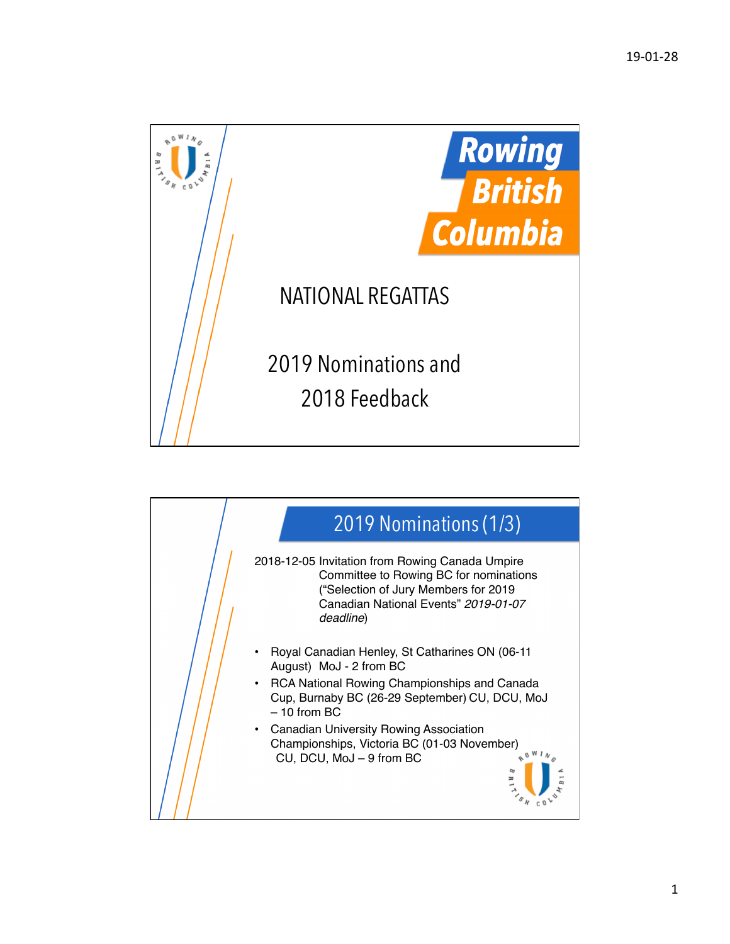

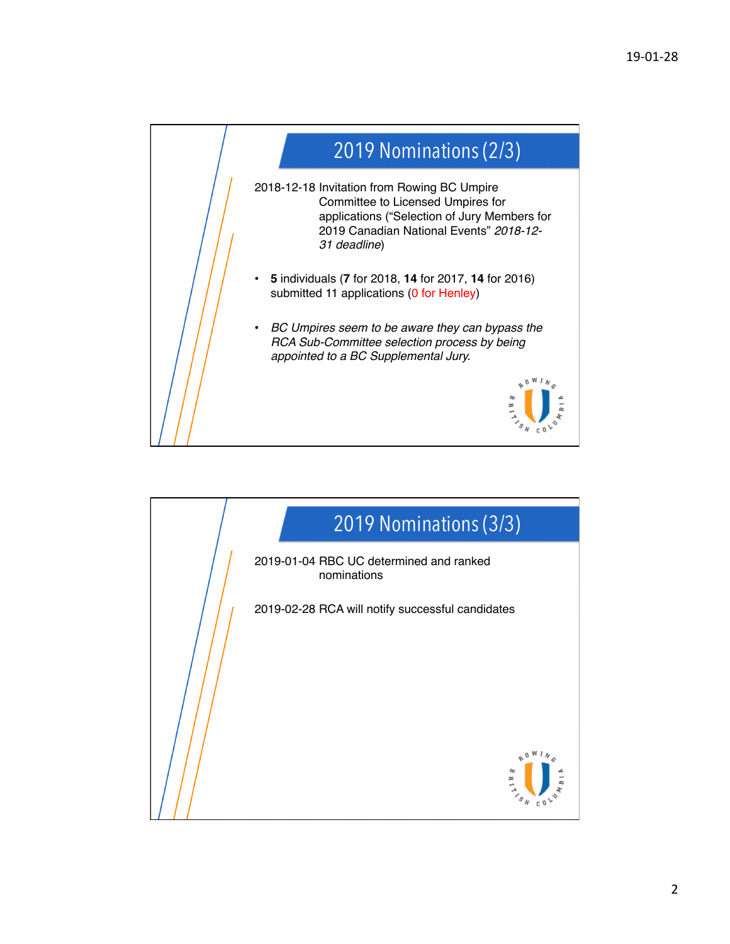

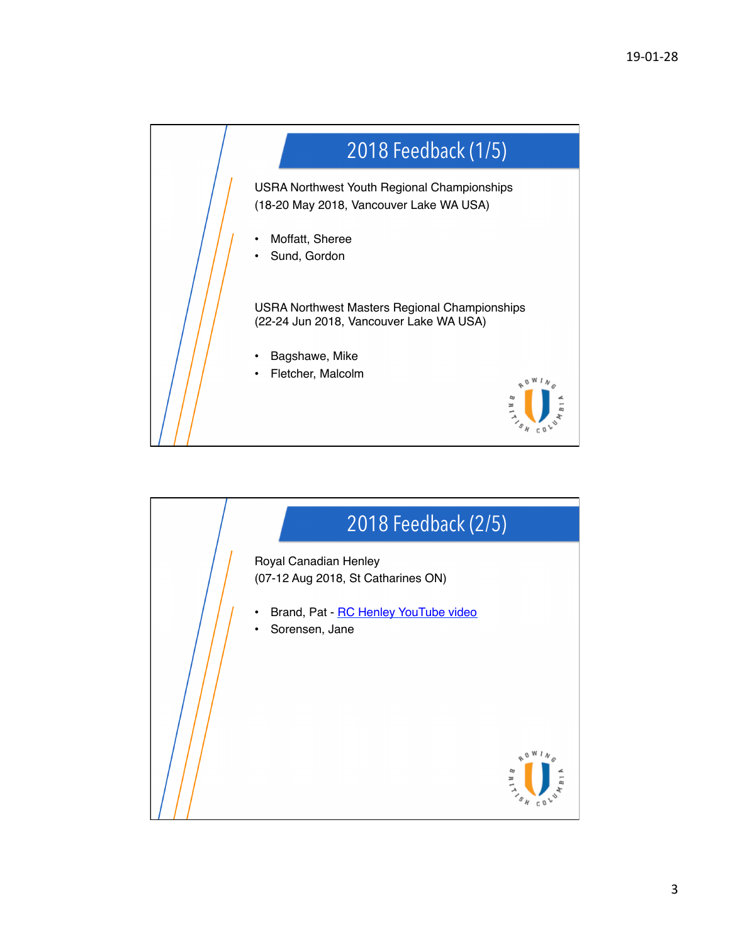

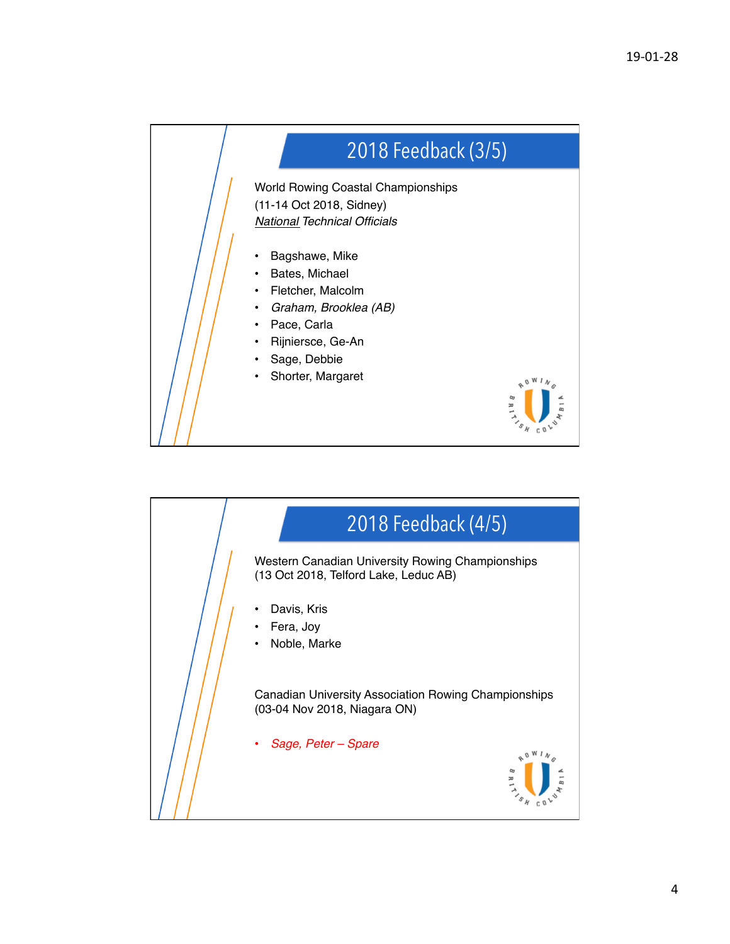